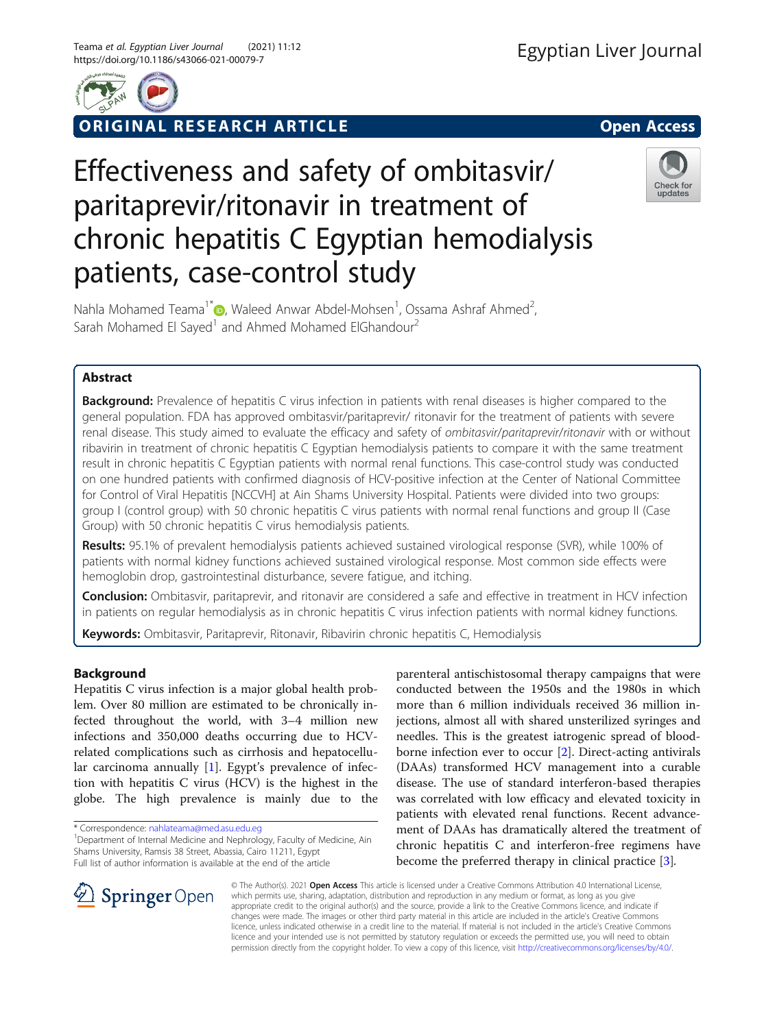



ORIGINAL RESEARCH ARTICLE **External of the Second Access** 

# Effectiveness and safety of ombitasvir/ paritaprevir/ritonavir in treatment of chronic hepatitis C Egyptian hemodialysis patients, case-control study



Nahla Mohamed Teama<sup>1[\\*](http://orcid.org/0000-0003-0095-8721)</sup> D, Waleed Anwar Abdel-Mohsen<sup>1</sup>, Ossama Ashraf Ahmed<sup>2</sup> .<br>, Sarah Mohamed El Sayed<sup>1</sup> and Ahmed Mohamed ElGhandour<sup>2</sup>

# Abstract

**Background:** Prevalence of hepatitis C virus infection in patients with renal diseases is higher compared to the general population. FDA has approved ombitasvir/paritaprevir/ ritonavir for the treatment of patients with severe renal disease. This study aimed to evaluate the efficacy and safety of ombitasvir/paritaprevir/ritonavir with or without ribavirin in treatment of chronic hepatitis C Egyptian hemodialysis patients to compare it with the same treatment result in chronic hepatitis C Egyptian patients with normal renal functions. This case-control study was conducted on one hundred patients with confirmed diagnosis of HCV-positive infection at the Center of National Committee for Control of Viral Hepatitis [NCCVH] at Ain Shams University Hospital. Patients were divided into two groups: group I (control group) with 50 chronic hepatitis C virus patients with normal renal functions and group II (Case Group) with 50 chronic hepatitis C virus hemodialysis patients.

Results: 95.1% of prevalent hemodialysis patients achieved sustained virological response (SVR), while 100% of patients with normal kidney functions achieved sustained virological response. Most common side effects were hemoglobin drop, gastrointestinal disturbance, severe fatigue, and itching.

Conclusion: Ombitasvir, paritaprevir, and ritonavir are considered a safe and effective in treatment in HCV infection in patients on regular hemodialysis as in chronic hepatitis C virus infection patients with normal kidney functions.

Keywords: Ombitasvir, Paritaprevir, Ritonavir, Ribavirin chronic hepatitis C, Hemodialysis

# Background

Hepatitis C virus infection is a major global health problem. Over 80 million are estimated to be chronically infected throughout the world, with 3–4 million new infections and 350,000 deaths occurring due to HCVrelated complications such as cirrhosis and hepatocellular carcinoma annually [\[1](#page-6-0)]. Egypt's prevalence of infection with hepatitis C virus (HCV) is the highest in the globe. The high prevalence is mainly due to the

\* Correspondence: [nahlateama@med.asu.edu.eg](mailto:nahlateama@med.asu.edu.eg) <sup>1</sup>

<sup>1</sup> Department of Internal Medicine and Nephrology, Faculty of Medicine, Ain Shams University, Ramsis 38 Street, Abassia, Cairo 11211, Egypt Full list of author information is available at the end of the article

parenteral antischistosomal therapy campaigns that were conducted between the 1950s and the 1980s in which more than 6 million individuals received 36 million injections, almost all with shared unsterilized syringes and needles. This is the greatest iatrogenic spread of bloodborne infection ever to occur [\[2](#page-6-0)]. Direct-acting antivirals (DAAs) transformed HCV management into a curable disease. The use of standard interferon-based therapies was correlated with low efficacy and elevated toxicity in patients with elevated renal functions. Recent advancement of DAAs has dramatically altered the treatment of chronic hepatitis C and interferon-free regimens have become the preferred therapy in clinical practice [\[3\]](#page-6-0).



© The Author(s). 2021 Open Access This article is licensed under a Creative Commons Attribution 4.0 International License, which permits use, sharing, adaptation, distribution and reproduction in any medium or format, as long as you give appropriate credit to the original author(s) and the source, provide a link to the Creative Commons licence, and indicate if changes were made. The images or other third party material in this article are included in the article's Creative Commons licence, unless indicated otherwise in a credit line to the material. If material is not included in the article's Creative Commons licence and your intended use is not permitted by statutory regulation or exceeds the permitted use, you will need to obtain permission directly from the copyright holder. To view a copy of this licence, visit <http://creativecommons.org/licenses/by/4.0/>.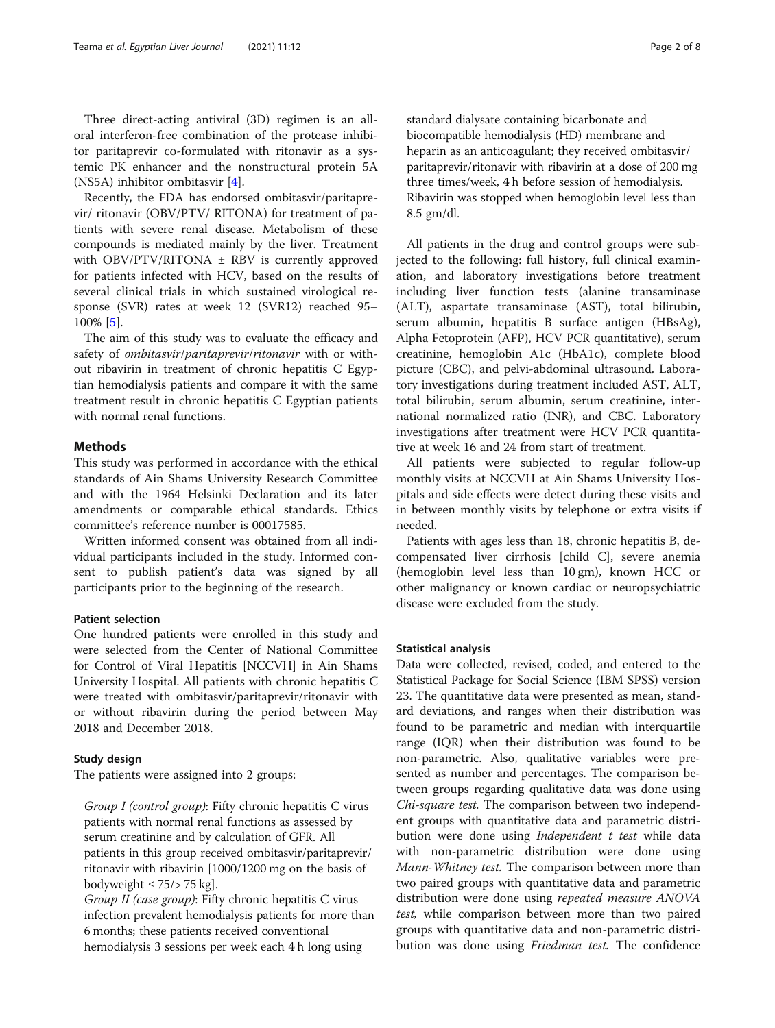Three direct-acting antiviral (3D) regimen is an alloral interferon-free combination of the protease inhibitor paritaprevir co-formulated with ritonavir as a systemic PK enhancer and the nonstructural protein 5A (NS5A) inhibitor ombitasvir [[4\]](#page-7-0).

Recently, the FDA has endorsed ombitasvir/paritaprevir/ ritonavir (OBV/PTV/ RITONA) for treatment of patients with severe renal disease. Metabolism of these compounds is mediated mainly by the liver. Treatment with OBV/PTV/RITONA  $\pm$  RBV is currently approved for patients infected with HCV, based on the results of several clinical trials in which sustained virological response (SVR) rates at week 12 (SVR12) reached 95– 100% [\[5](#page-7-0)].

The aim of this study was to evaluate the efficacy and safety of ombitasvir/paritaprevir/ritonavir with or without ribavirin in treatment of chronic hepatitis C Egyptian hemodialysis patients and compare it with the same treatment result in chronic hepatitis C Egyptian patients with normal renal functions.

# **Methods**

This study was performed in accordance with the ethical standards of Ain Shams University Research Committee and with the 1964 Helsinki Declaration and its later amendments or comparable ethical standards. Ethics committee's reference number is 00017585.

Written informed consent was obtained from all individual participants included in the study. Informed consent to publish patient's data was signed by all participants prior to the beginning of the research.

## Patient selection

One hundred patients were enrolled in this study and were selected from the Center of National Committee for Control of Viral Hepatitis [NCCVH] in Ain Shams University Hospital. All patients with chronic hepatitis C were treated with ombitasvir/paritaprevir/ritonavir with or without ribavirin during the period between May 2018 and December 2018.

## Study design

The patients were assigned into 2 groups:

Group I (control group): Fifty chronic hepatitis C virus patients with normal renal functions as assessed by serum creatinine and by calculation of GFR. All patients in this group received ombitasvir/paritaprevir/ ritonavir with ribavirin [1000/1200 mg on the basis of bodyweight  $\leq$  75/ $>$  75 kg].

Group II (case group): Fifty chronic hepatitis C virus infection prevalent hemodialysis patients for more than 6 months; these patients received conventional hemodialysis 3 sessions per week each 4 h long using

standard dialysate containing bicarbonate and biocompatible hemodialysis (HD) membrane and heparin as an anticoagulant; they received ombitasvir/ paritaprevir/ritonavir with ribavirin at a dose of 200 mg three times/week, 4 h before session of hemodialysis. Ribavirin was stopped when hemoglobin level less than 8.5 gm/dl.

All patients in the drug and control groups were subjected to the following: full history, full clinical examination, and laboratory investigations before treatment including liver function tests (alanine transaminase (ALT), aspartate transaminase (AST), total bilirubin, serum albumin, hepatitis B surface antigen (HBsAg), Alpha Fetoprotein (AFP), HCV PCR quantitative), serum creatinine, hemoglobin A1c (HbA1c), complete blood picture (CBC), and pelvi-abdominal ultrasound. Laboratory investigations during treatment included AST, ALT, total bilirubin, serum albumin, serum creatinine, international normalized ratio (INR), and CBC. Laboratory investigations after treatment were HCV PCR quantitative at week 16 and 24 from start of treatment.

All patients were subjected to regular follow-up monthly visits at NCCVH at Ain Shams University Hospitals and side effects were detect during these visits and in between monthly visits by telephone or extra visits if needed.

Patients with ages less than 18, chronic hepatitis B, decompensated liver cirrhosis [child C], severe anemia (hemoglobin level less than 10 gm), known HCC or other malignancy or known cardiac or neuropsychiatric disease were excluded from the study.

## Statistical analysis

Data were collected, revised, coded, and entered to the Statistical Package for Social Science (IBM SPSS) version 23. The quantitative data were presented as mean, standard deviations, and ranges when their distribution was found to be parametric and median with interquartile range (IQR) when their distribution was found to be non-parametric. Also, qualitative variables were presented as number and percentages. The comparison between groups regarding qualitative data was done using Chi-square test. The comparison between two independent groups with quantitative data and parametric distribution were done using *Independent t test* while data with non-parametric distribution were done using Mann-Whitney test. The comparison between more than two paired groups with quantitative data and parametric distribution were done using repeated measure ANOVA test, while comparison between more than two paired groups with quantitative data and non-parametric distribution was done using Friedman test. The confidence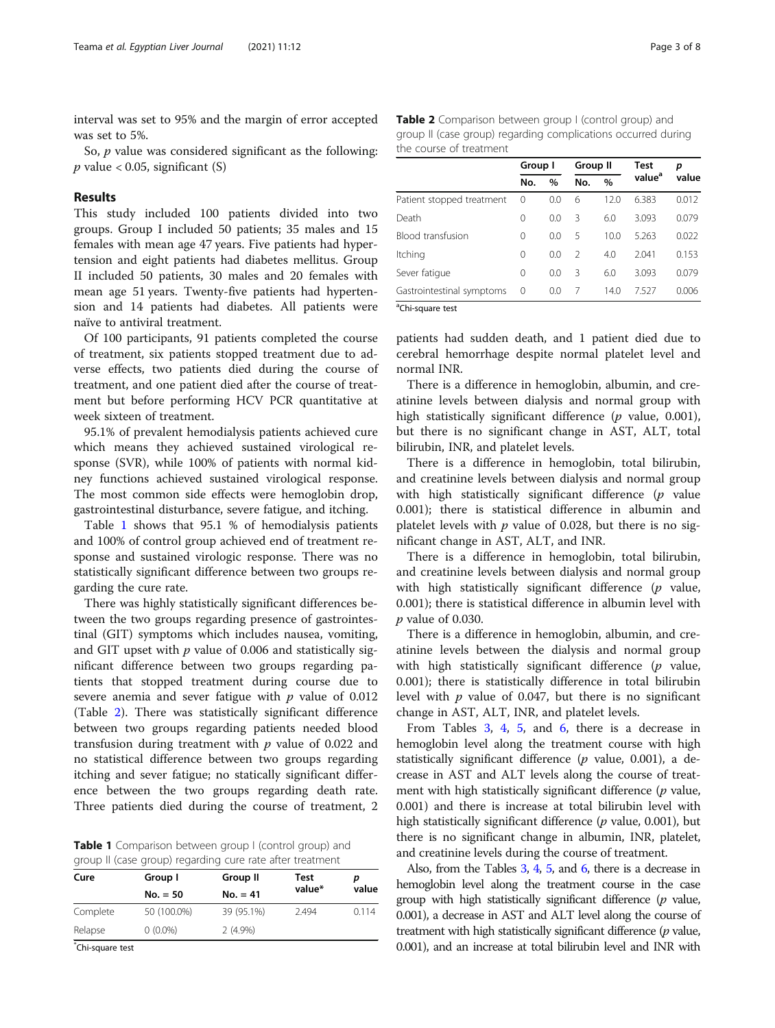interval was set to 95% and the margin of error accepted was set to 5%.

So, *p* value was considered significant as the following:  $p$  value < 0.05, significant (S)

## Results

This study included 100 patients divided into two groups. Group I included 50 patients; 35 males and 15 females with mean age 47 years. Five patients had hypertension and eight patients had diabetes mellitus. Group II included 50 patients, 30 males and 20 females with mean age 51 years. Twenty-five patients had hypertension and 14 patients had diabetes. All patients were naïve to antiviral treatment.

Of 100 participants, 91 patients completed the course of treatment, six patients stopped treatment due to adverse effects, two patients died during the course of treatment, and one patient died after the course of treatment but before performing HCV PCR quantitative at week sixteen of treatment.

95.1% of prevalent hemodialysis patients achieved cure which means they achieved sustained virological response (SVR), while 100% of patients with normal kidney functions achieved sustained virological response. The most common side effects were hemoglobin drop, gastrointestinal disturbance, severe fatigue, and itching.

Table 1 shows that 95.1 % of hemodialysis patients and 100% of control group achieved end of treatment response and sustained virologic response. There was no statistically significant difference between two groups regarding the cure rate.

There was highly statistically significant differences between the two groups regarding presence of gastrointestinal (GIT) symptoms which includes nausea, vomiting, and GIT upset with  $p$  value of 0.006 and statistically significant difference between two groups regarding patients that stopped treatment during course due to severe anemia and sever fatigue with  $p$  value of 0.012 (Table 2). There was statistically significant difference between two groups regarding patients needed blood transfusion during treatment with  $p$  value of 0.022 and no statistical difference between two groups regarding itching and sever fatigue; no statically significant difference between the two groups regarding death rate. Three patients died during the course of treatment, 2

Table 1 Comparison between group I (control group) and group II (case group) regarding cure rate after treatment

| Cure                | Group I     | Group II   | Test   |       |
|---------------------|-------------|------------|--------|-------|
|                     | $No. = 50$  | $No. = 41$ | value* | value |
| Complete            | 50 (100.0%) | 39 (95.1%) | 2.494  | 0.114 |
| Relapse             | $0(0.0\%)$  | $2(4.9\%)$ |        |       |
| $*$ Chi amisas tast |             |            |        |       |

\* Chi-square test

Table 2 Comparison between group I (control group) and group II (case group) regarding complications occurred during the course of treatment

|                           | Group I  |               | <b>Group II</b> |      | <b>Test</b>        | р     |
|---------------------------|----------|---------------|-----------------|------|--------------------|-------|
|                           | No.      | $\frac{0}{0}$ | No.             | $\%$ | value <sup>a</sup> | value |
| Patient stopped treatment | 0        | 0.0           | 6               | 12.0 | 6.383              | 0.012 |
| Death                     | 0        | 0.0           | 3               | 6.0  | 3.093              | 0.079 |
| <b>Blood transfusion</b>  | $\Omega$ | 0.0           | 5               | 10.0 | 5.263              | 0.022 |
| Itching                   | $\Omega$ | 0.0           | $\mathcal{P}$   | 4.0  | 2041               | 0.153 |
| Sever fatique             | $\Omega$ | 0.0           | Β               | 6.0  | 3.093              | 0.079 |
| Gastrointestinal symptoms | 0        | 0.0           | 7               | 14.0 | 7.527              | 0.006 |

<sup>a</sup>Chi-square test

patients had sudden death, and 1 patient died due to cerebral hemorrhage despite normal platelet level and normal INR.

There is a difference in hemoglobin, albumin, and creatinine levels between dialysis and normal group with high statistically significant difference  $(p$  value, 0.001), but there is no significant change in AST, ALT, total bilirubin, INR, and platelet levels.

There is a difference in hemoglobin, total bilirubin, and creatinine levels between dialysis and normal group with high statistically significant difference  $(p$  value 0.001); there is statistical difference in albumin and platelet levels with  $p$  value of 0.028, but there is no significant change in AST, ALT, and INR.

There is a difference in hemoglobin, total bilirubin, and creatinine levels between dialysis and normal group with high statistically significant difference  $(p \text{ value},$ 0.001); there is statistical difference in albumin level with p value of 0.030.

There is a difference in hemoglobin, albumin, and creatinine levels between the dialysis and normal group with high statistically significant difference  $(p$  value, 0.001); there is statistically difference in total bilirubin level with  $p$  value of 0.047, but there is no significant change in AST, ALT, INR, and platelet levels.

From Tables [3,](#page-3-0) [4,](#page-3-0) [5](#page-4-0), and [6](#page-4-0), there is a decrease in hemoglobin level along the treatment course with high statistically significant difference  $(p \text{ value}, 0.001)$ , a decrease in AST and ALT levels along the course of treatment with high statistically significant difference  $(p \text{ value},$ 0.001) and there is increase at total bilirubin level with high statistically significant difference ( $p$  value, 0.001), but there is no significant change in albumin, INR, platelet, and creatinine levels during the course of treatment.

Also, from the Tables [3,](#page-3-0) [4,](#page-3-0) [5](#page-4-0), and [6](#page-4-0), there is a decrease in hemoglobin level along the treatment course in the case group with high statistically significant difference  $(p)$  value, 0.001), a decrease in AST and ALT level along the course of treatment with high statistically significant difference  $(p \text{ value},$ 0.001), and an increase at total bilirubin level and INR with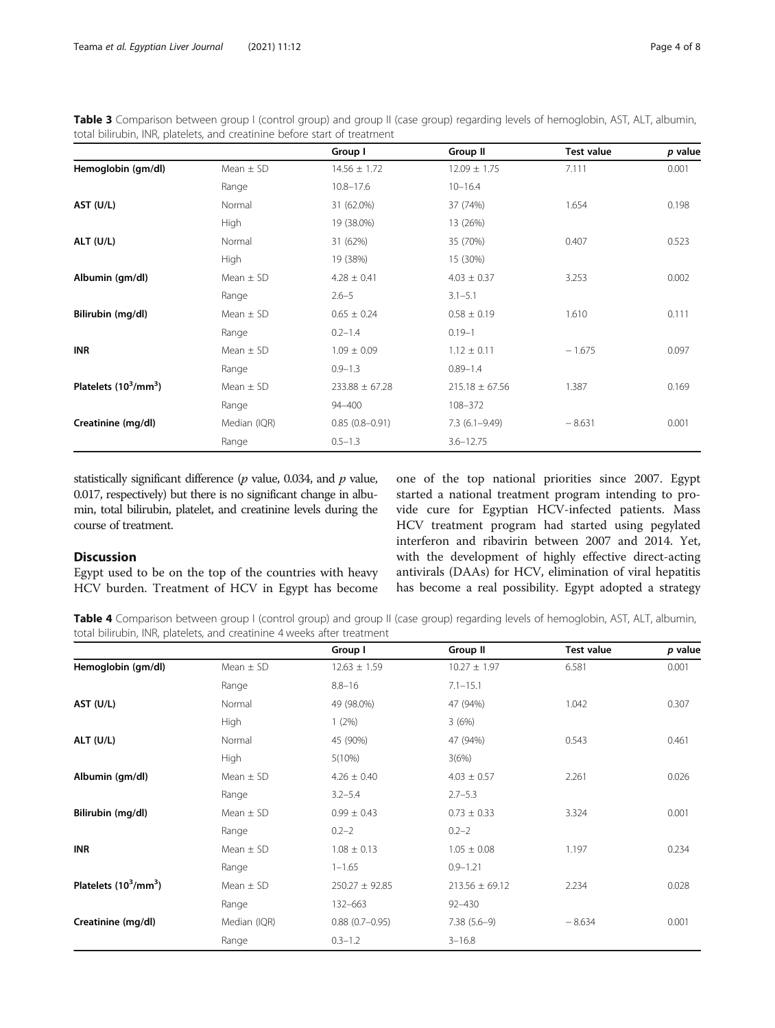<span id="page-3-0"></span>

| Table 3 Comparison between group I (control group) and group II (case group) regarding levels of hemoglobin, AST, ALT, albumin, |  |  |
|---------------------------------------------------------------------------------------------------------------------------------|--|--|
| total bilirubin, INR, platelets, and creatinine before start of treatment                                                       |  |  |

|                                |               | Group I            | Group II           | <b>Test value</b> | p value |
|--------------------------------|---------------|--------------------|--------------------|-------------------|---------|
| Hemoglobin (gm/dl)             | Mean $\pm$ SD | $14.56 \pm 1.72$   | $12.09 \pm 1.75$   | 7.111             | 0.001   |
|                                | Range         | $10.8 - 17.6$      | $10 - 16.4$        |                   |         |
| AST (U/L)                      | Normal        | 31 (62.0%)         | 37 (74%)           | 1.654             | 0.198   |
|                                | <b>High</b>   | 19 (38.0%)         | 13 (26%)           |                   |         |
| ALT (U/L)                      | Normal        | 31 (62%)           | 35 (70%)           | 0.407             | 0.523   |
|                                | High          | 19 (38%)           | 15 (30%)           |                   |         |
| Albumin (gm/dl)                | Mean $\pm$ SD | $4.28 \pm 0.41$    | $4.03 \pm 0.37$    | 3.253             | 0.002   |
|                                | Range         | $2.6 - 5$          | $3.1 - 5.1$        |                   |         |
| Bilirubin (mg/dl)              | Mean $\pm$ SD | $0.65 \pm 0.24$    | $0.58 \pm 0.19$    | 1.610             | 0.111   |
|                                | Range         | $0.2 - 1.4$        | $0.19 - 1$         |                   |         |
| <b>INR</b>                     | Mean $\pm$ SD | $1.09 \pm 0.09$    | $1.12 \pm 0.11$    | $-1.675$          | 0.097   |
|                                | Range         | $0.9 - 1.3$        | $0.89 - 1.4$       |                   |         |
| Platelets $(10^3/\text{mm}^3)$ | Mean $\pm$ SD | $233.88 \pm 67.28$ | $215.18 \pm 67.56$ | 1.387             | 0.169   |
|                                | Range         | $94 - 400$         | 108-372            |                   |         |
| Creatinine (mg/dl)             | Median (IQR)  | $0.85(0.8 - 0.91)$ | $7.3(6.1 - 9.49)$  | $-8.631$          | 0.001   |
|                                | Range         | $0.5 - 1.3$        | $3.6 - 12.75$      |                   |         |

statistically significant difference  $(p \text{ value}, 0.034, \text{ and } p \text{ value},$ 0.017, respectively) but there is no significant change in albumin, total bilirubin, platelet, and creatinine levels during the course of treatment.

## **Discussion**

Egypt used to be on the top of the countries with heavy HCV burden. Treatment of HCV in Egypt has become one of the top national priorities since 2007. Egypt started a national treatment program intending to provide cure for Egyptian HCV-infected patients. Mass HCV treatment program had started using pegylated interferon and ribavirin between 2007 and 2014. Yet, with the development of highly effective direct-acting antivirals (DAAs) for HCV, elimination of viral hepatitis has become a real possibility. Egypt adopted a strategy

Table 4 Comparison between group I (control group) and group II (case group) regarding levels of hemoglobin, AST, ALT, albumin, total bilirubin, INR, platelets, and creatinine 4 weeks after treatment

|                                |               | Group I            | Group II           | <b>Test value</b> | p value |
|--------------------------------|---------------|--------------------|--------------------|-------------------|---------|
| Hemoglobin (gm/dl)             | Mean $\pm$ SD | $12.63 \pm 1.59$   | $10.27 \pm 1.97$   | 6.581             | 0.001   |
|                                | Range         | $8.8 - 16$         | $7.1 - 15.1$       |                   |         |
| AST (U/L)                      | Normal        | 49 (98.0%)         | 47 (94%)           | 1.042             | 0.307   |
|                                | <b>High</b>   | 1(2%)              | 3(6%)              |                   |         |
| ALT (U/L)                      | Normal        | 45 (90%)           | 47 (94%)           | 0.543             | 0.461   |
|                                | High          | 5(10%)             | 3(6%)              |                   |         |
| Albumin (gm/dl)                | Mean $\pm$ SD | $4.26 \pm 0.40$    | $4.03 \pm 0.57$    | 2.261             | 0.026   |
|                                | Range         | $3.2 - 5.4$        | $2.7 - 5.3$        |                   |         |
| Bilirubin (mg/dl)              | Mean $\pm$ SD | $0.99 \pm 0.43$    | $0.73 \pm 0.33$    | 3.324             | 0.001   |
|                                | Range         | $0.2 - 2$          | $0.2 - 2$          |                   |         |
| <b>INR</b>                     | Mean $\pm$ SD | $1.08 \pm 0.13$    | $1.05 \pm 0.08$    | 1.197             | 0.234   |
|                                | Range         | $1 - 1.65$         | $0.9 - 1.21$       |                   |         |
| Platelets $(10^3/\text{mm}^3)$ | Mean $\pm$ SD | $250.27 \pm 92.85$ | $213.56 \pm 69.12$ | 2.234             | 0.028   |
|                                | Range         | 132-663            | $92 - 430$         |                   |         |
| Creatinine (mg/dl)             | Median (IQR)  | $0.88(0.7-0.95)$   | $7.38(5.6-9)$      | $-8.634$          | 0.001   |
|                                | Range         | $0.3 - 1.2$        | $3 - 16.8$         |                   |         |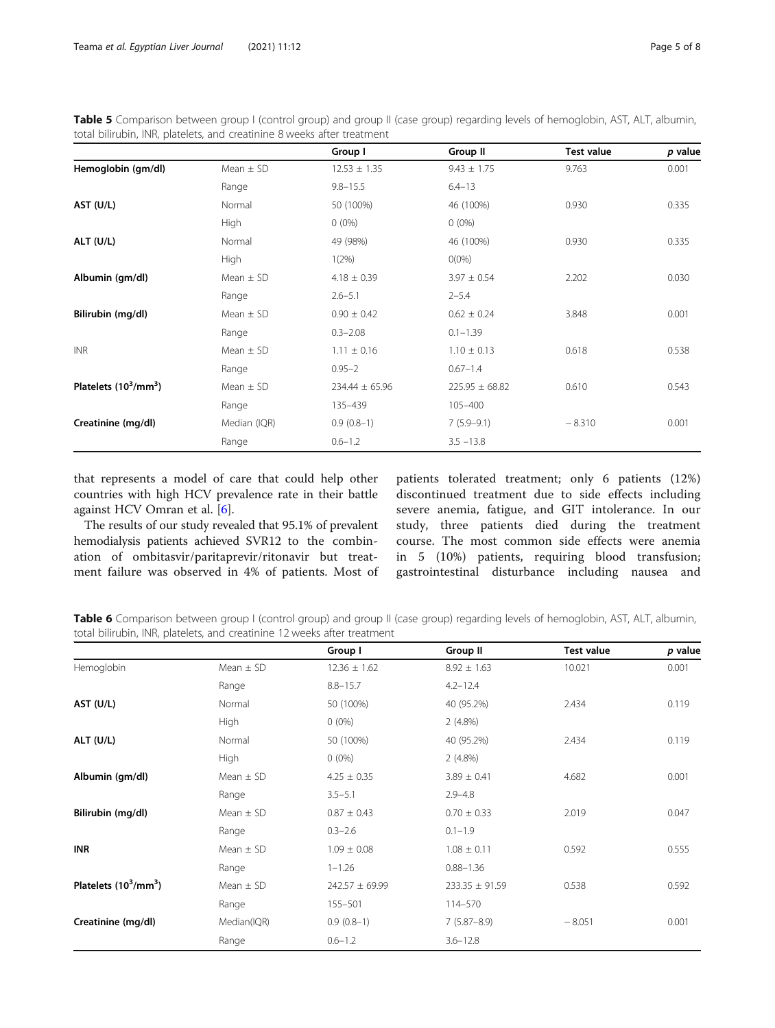<span id="page-4-0"></span>

|                                                                         | Table 5 Comparison between group I (control group) and group II (case group) regarding levels of hemoglobin, AST, ALT, albumin, |
|-------------------------------------------------------------------------|---------------------------------------------------------------------------------------------------------------------------------|
| total bilirubin, INR, platelets, and creatinine 8 weeks after treatment |                                                                                                                                 |

|                                |               | Group I            | Group II           | <b>Test value</b> | p value |
|--------------------------------|---------------|--------------------|--------------------|-------------------|---------|
| Hemoglobin (gm/dl)             | Mean $\pm$ SD | $12.53 \pm 1.35$   | $9.43 \pm 1.75$    | 9.763             | 0.001   |
|                                | Range         | $9.8 - 15.5$       | $6.4 - 13$         |                   |         |
| AST (U/L)                      | Normal        | 50 (100%)          | 46 (100%)          | 0.930             | 0.335   |
|                                | High          | $0(0\%)$           | $0(0\%)$           |                   |         |
| ALT (U/L)                      | Normal        | 49 (98%)           | 46 (100%)          | 0.930             | 0.335   |
|                                | High          | 1(2%)              | $O(0\%)$           |                   |         |
| Albumin (gm/dl)                | Mean $\pm$ SD | $4.18 \pm 0.39$    | $3.97 \pm 0.54$    | 2.202             | 0.030   |
|                                | Range         | $2.6 - 5.1$        | $2 - 5.4$          |                   |         |
| Bilirubin (mg/dl)              | Mean $\pm$ SD | $0.90 \pm 0.42$    | $0.62 \pm 0.24$    | 3.848             | 0.001   |
|                                | Range         | $0.3 - 2.08$       | $0.1 - 1.39$       |                   |         |
| <b>INR</b>                     | Mean $\pm$ SD | $1.11 \pm 0.16$    | $1.10 \pm 0.13$    | 0.618             | 0.538   |
|                                | Range         | $0.95 - 2$         | $0.67 - 1.4$       |                   |         |
| Platelets $(10^3/\text{mm}^3)$ | Mean $\pm$ SD | $234.44 \pm 65.96$ | $225.95 \pm 68.82$ | 0.610             | 0.543   |
|                                | Range         | 135-439            | 105-400            |                   |         |
| Creatinine (mg/dl)             | Median (IQR)  | $0.9(0.8-1)$       | $7(5.9-9.1)$       | $-8.310$          | 0.001   |
|                                | Range         | $0.6 - 1.2$        | $3.5 - 13.8$       |                   |         |

that represents a model of care that could help other countries with high HCV prevalence rate in their battle against HCV Omran et al. [[6\]](#page-7-0).

The results of our study revealed that 95.1% of prevalent hemodialysis patients achieved SVR12 to the combination of ombitasvir/paritaprevir/ritonavir but treatment failure was observed in 4% of patients. Most of patients tolerated treatment; only 6 patients (12%) discontinued treatment due to side effects including severe anemia, fatigue, and GIT intolerance. In our study, three patients died during the treatment course. The most common side effects were anemia in 5 (10%) patients, requiring blood transfusion; gastrointestinal disturbance including nausea and

Table 6 Comparison between group I (control group) and group II (case group) regarding levels of hemoglobin, AST, ALT, albumin, total bilirubin, INR, platelets, and creatinine 12 weeks after treatment

|                                |               | Group I            | Group II           | Test value | p value |
|--------------------------------|---------------|--------------------|--------------------|------------|---------|
| Hemoglobin                     | Mean $\pm$ SD | $12.36 \pm 1.62$   | $8.92 \pm 1.63$    | 10.021     | 0.001   |
|                                | Range         | $8.8 - 15.7$       | $4.2 - 12.4$       |            |         |
| AST (U/L)                      | Normal        | 50 (100%)          | 40 (95.2%)         | 2.434      | 0.119   |
|                                | High          | $0(0\%)$           | $2(4.8\%)$         |            |         |
| ALT (U/L)                      | Normal        | 50 (100%)          | 40 (95.2%)         | 2.434      | 0.119   |
|                                | High          | $0(0\%)$           | $2(4.8\%)$         |            |         |
| Albumin (gm/dl)                | Mean $\pm$ SD | $4.25 \pm 0.35$    | $3.89 \pm 0.41$    | 4.682      | 0.001   |
|                                | Range         | $3.5 - 5.1$        | $2.9 - 4.8$        |            |         |
| Bilirubin (mg/dl)              | Mean $\pm$ SD | $0.87 \pm 0.43$    | $0.70 \pm 0.33$    | 2.019      | 0.047   |
|                                | Range         | $0.3 - 2.6$        | $0.1 - 1.9$        |            |         |
| <b>INR</b>                     | Mean $\pm$ SD | $1.09 \pm 0.08$    | $1.08 \pm 0.11$    | 0.592      | 0.555   |
|                                | Range         | $1 - 1.26$         | $0.88 - 1.36$      |            |         |
| Platelets $(10^3/\text{mm}^3)$ | Mean $\pm$ SD | $242.57 \pm 69.99$ | $233.35 \pm 91.59$ | 0.538      | 0.592   |
|                                | Range         | 155-501            | 114-570            |            |         |
| Creatinine (mg/dl)             | Median(IQR)   | $0.9(0.8-1)$       | $7(5.87 - 8.9)$    | $-8.051$   | 0.001   |
|                                | Range         | $0.6 - 1.2$        | $3.6 - 12.8$       |            |         |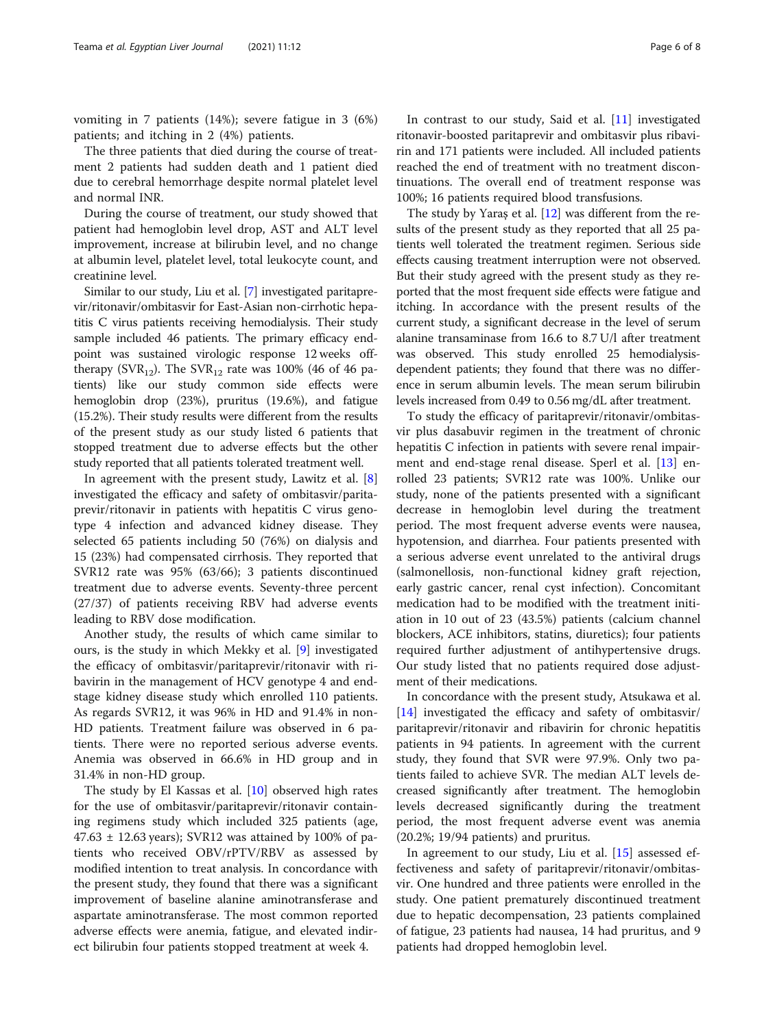vomiting in 7 patients (14%); severe fatigue in 3 (6%) patients; and itching in 2 (4%) patients.

The three patients that died during the course of treatment 2 patients had sudden death and 1 patient died due to cerebral hemorrhage despite normal platelet level and normal INR.

During the course of treatment, our study showed that patient had hemoglobin level drop, AST and ALT level improvement, increase at bilirubin level, and no change at albumin level, platelet level, total leukocyte count, and creatinine level.

Similar to our study, Liu et al. [\[7](#page-7-0)] investigated paritaprevir/ritonavir/ombitasvir for East-Asian non-cirrhotic hepatitis C virus patients receiving hemodialysis. Their study sample included 46 patients. The primary efficacy endpoint was sustained virologic response 12 weeks offtherapy (SVR<sub>12</sub>). The SVR<sub>12</sub> rate was 100% (46 of 46 patients) like our study common side effects were hemoglobin drop (23%), pruritus (19.6%), and fatigue (15.2%). Their study results were different from the results of the present study as our study listed 6 patients that stopped treatment due to adverse effects but the other study reported that all patients tolerated treatment well.

In agreement with the present study, Lawitz et al. [\[8](#page-7-0)] investigated the efficacy and safety of ombitasvir/paritaprevir/ritonavir in patients with hepatitis C virus genotype 4 infection and advanced kidney disease. They selected 65 patients including 50 (76%) on dialysis and 15 (23%) had compensated cirrhosis. They reported that SVR12 rate was 95% (63/66); 3 patients discontinued treatment due to adverse events. Seventy-three percent (27/37) of patients receiving RBV had adverse events leading to RBV dose modification.

Another study, the results of which came similar to ours, is the study in which Mekky et al. [[9](#page-7-0)] investigated the efficacy of ombitasvir/paritaprevir/ritonavir with ribavirin in the management of HCV genotype 4 and endstage kidney disease study which enrolled 110 patients. As regards SVR12, it was 96% in HD and 91.4% in non-HD patients. Treatment failure was observed in 6 patients. There were no reported serious adverse events. Anemia was observed in 66.6% in HD group and in 31.4% in non-HD group.

The study by El Kassas et al. [[10\]](#page-7-0) observed high rates for the use of ombitasvir/paritaprevir/ritonavir containing regimens study which included 325 patients (age,  $47.63 \pm 12.63$  years); SVR12 was attained by 100% of patients who received OBV/rPTV/RBV as assessed by modified intention to treat analysis. In concordance with the present study, they found that there was a significant improvement of baseline alanine aminotransferase and aspartate aminotransferase. The most common reported adverse effects were anemia, fatigue, and elevated indirect bilirubin four patients stopped treatment at week 4.

In contrast to our study, Said et al. [[11\]](#page-7-0) investigated ritonavir-boosted paritaprevir and ombitasvir plus ribavirin and 171 patients were included. All included patients reached the end of treatment with no treatment discontinuations. The overall end of treatment response was 100%; 16 patients required blood transfusions.

The study by Yaraş et al. [[12](#page-7-0)] was different from the results of the present study as they reported that all 25 patients well tolerated the treatment regimen. Serious side effects causing treatment interruption were not observed. But their study agreed with the present study as they reported that the most frequent side effects were fatigue and itching. In accordance with the present results of the current study, a significant decrease in the level of serum alanine transaminase from 16.6 to 8.7 U/l after treatment was observed. This study enrolled 25 hemodialysisdependent patients; they found that there was no difference in serum albumin levels. The mean serum bilirubin levels increased from 0.49 to 0.56 mg/dL after treatment.

To study the efficacy of paritaprevir/ritonavir/ombitasvir plus dasabuvir regimen in the treatment of chronic hepatitis C infection in patients with severe renal impairment and end-stage renal disease. Sperl et al. [[13](#page-7-0)] enrolled 23 patients; SVR12 rate was 100%. Unlike our study, none of the patients presented with a significant decrease in hemoglobin level during the treatment period. The most frequent adverse events were nausea, hypotension, and diarrhea. Four patients presented with a serious adverse event unrelated to the antiviral drugs (salmonellosis, non-functional kidney graft rejection, early gastric cancer, renal cyst infection). Concomitant medication had to be modified with the treatment initiation in 10 out of 23 (43.5%) patients (calcium channel blockers, ACE inhibitors, statins, diuretics); four patients required further adjustment of antihypertensive drugs. Our study listed that no patients required dose adjustment of their medications.

In concordance with the present study, Atsukawa et al. [[14\]](#page-7-0) investigated the efficacy and safety of ombitasvir/ paritaprevir/ritonavir and ribavirin for chronic hepatitis patients in 94 patients. In agreement with the current study, they found that SVR were 97.9%. Only two patients failed to achieve SVR. The median ALT levels decreased significantly after treatment. The hemoglobin levels decreased significantly during the treatment period, the most frequent adverse event was anemia (20.2%; 19/94 patients) and pruritus.

In agreement to our study, Liu et al. [[15\]](#page-7-0) assessed effectiveness and safety of paritaprevir/ritonavir/ombitasvir. One hundred and three patients were enrolled in the study. One patient prematurely discontinued treatment due to hepatic decompensation, 23 patients complained of fatigue, 23 patients had nausea, 14 had pruritus, and 9 patients had dropped hemoglobin level.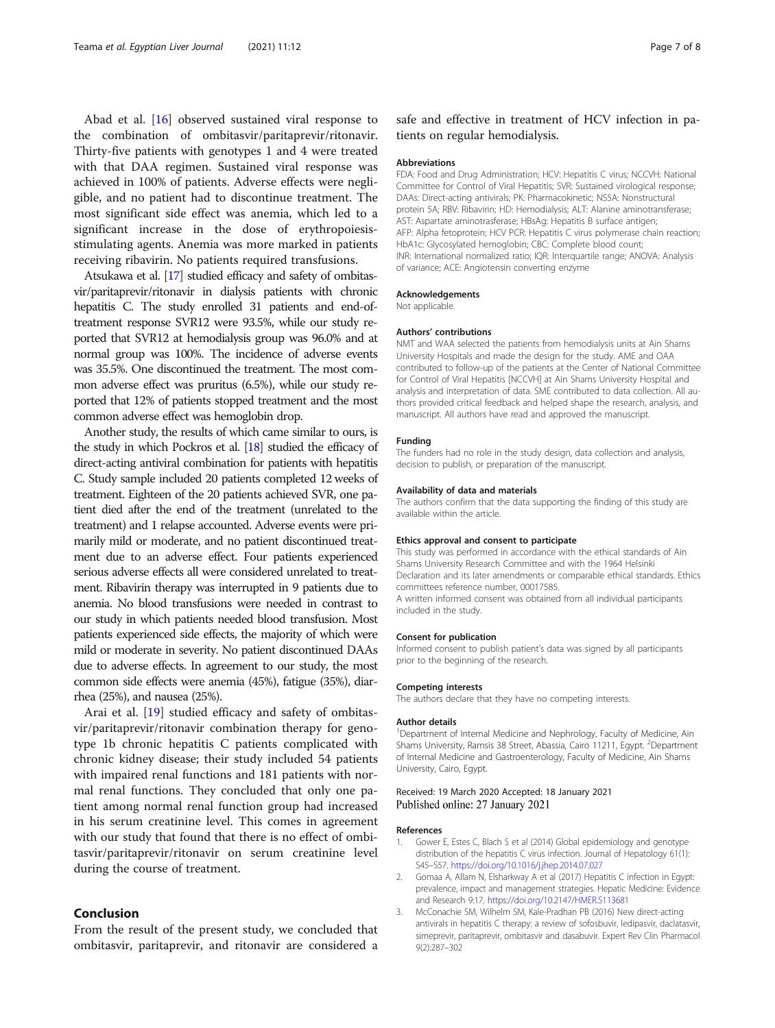<span id="page-6-0"></span>Abad et al. [\[16](#page-7-0)] observed sustained viral response to the combination of ombitasvir/paritaprevir/ritonavir. Thirty-five patients with genotypes 1 and 4 were treated with that DAA regimen. Sustained viral response was achieved in 100% of patients. Adverse effects were negligible, and no patient had to discontinue treatment. The most significant side effect was anemia, which led to a significant increase in the dose of erythropoiesisstimulating agents. Anemia was more marked in patients receiving ribavirin. No patients required transfusions.

Atsukawa et al. [\[17](#page-7-0)] studied efficacy and safety of ombitasvir/paritaprevir/ritonavir in dialysis patients with chronic hepatitis C. The study enrolled 31 patients and end-oftreatment response SVR12 were 93.5%, while our study reported that SVR12 at hemodialysis group was 96.0% and at normal group was 100%. The incidence of adverse events was 35.5%. One discontinued the treatment. The most common adverse effect was pruritus (6.5%), while our study reported that 12% of patients stopped treatment and the most common adverse effect was hemoglobin drop.

Another study, the results of which came similar to ours, is the study in which Pockros et al. [\[18\]](#page-7-0) studied the efficacy of direct-acting antiviral combination for patients with hepatitis C. Study sample included 20 patients completed 12 weeks of treatment. Eighteen of the 20 patients achieved SVR, one patient died after the end of the treatment (unrelated to the treatment) and 1 relapse accounted. Adverse events were primarily mild or moderate, and no patient discontinued treatment due to an adverse effect. Four patients experienced serious adverse effects all were considered unrelated to treatment. Ribavirin therapy was interrupted in 9 patients due to anemia. No blood transfusions were needed in contrast to our study in which patients needed blood transfusion. Most patients experienced side effects, the majority of which were mild or moderate in severity. No patient discontinued DAAs due to adverse effects. In agreement to our study, the most common side effects were anemia (45%), fatigue (35%), diarrhea (25%), and nausea (25%).

Arai et al. [\[19](#page-7-0)] studied efficacy and safety of ombitasvir/paritaprevir/ritonavir combination therapy for genotype 1b chronic hepatitis C patients complicated with chronic kidney disease; their study included 54 patients with impaired renal functions and 181 patients with normal renal functions. They concluded that only one patient among normal renal function group had increased in his serum creatinine level. This comes in agreement with our study that found that there is no effect of ombitasvir/paritaprevir/ritonavir on serum creatinine level during the course of treatment.

# Conclusion

From the result of the present study, we concluded that ombitasvir, paritaprevir, and ritonavir are considered a

safe and effective in treatment of HCV infection in patients on regular hemodialysis.

#### Abbreviations

FDA: Food and Drug Administration; HCV: Hepatitis C virus; NCCVH: National Committee for Control of Viral Hepatitis; SVR: Sustained virological response; DAAs: Direct-acting antivirals; PK: Pharmacokinetic; NS5A: Nonstructural protein 5A; RBV: Ribavirin; HD: Hemodialysis; ALT: Alanine aminotransferase; AST: Aspartate aminotrasferase; HBsAg: Hepatitis B surface antigen; AFP: Alpha fetoprotein; HCV PCR: Hepatitis C virus polymerase chain reaction; HbA1c: Glycosylated hemoglobin; CBC: Complete blood count; INR: International normalized ratio; IQR: Interquartile range; ANOVA: Analysis of variance; ACE: Angiotensin converting enzyme

#### Acknowledgements

Not applicable.

## Authors' contributions

NMT and WAA selected the patients from hemodialysis units at Ain Shams University Hospitals and made the design for the study. AME and OAA contributed to follow-up of the patients at the Center of National Committee for Control of Viral Hepatitis [NCCVH] at Ain Shams University Hospital and analysis and interpretation of data. SME contributed to data collection. All authors provided critical feedback and helped shape the research, analysis, and manuscript. All authors have read and approved the manuscript.

#### Funding

The funders had no role in the study design, data collection and analysis, decision to publish, or preparation of the manuscript.

### Availability of data and materials

The authors confirm that the data supporting the finding of this study are available within the article.

## Ethics approval and consent to participate

This study was performed in accordance with the ethical standards of Ain Shams University Research Committee and with the 1964 Helsinki Declaration and its later amendments or comparable ethical standards. Ethics committees reference number, 00017585. A written informed consent was obtained from all individual participants included in the study.

## Consent for publication

Informed consent to publish patient's data was signed by all participants prior to the beginning of the research.

## Competing interests

The authors declare that they have no competing interests.

#### Author details

<sup>1</sup>Department of Internal Medicine and Nephrology, Faculty of Medicine, Ain Shams University, Ramsis 38 Street, Abassia, Cairo 11211, Egypt. <sup>2</sup>Department of Internal Medicine and Gastroenterology, Faculty of Medicine, Ain Shams University, Cairo, Egypt.

## Received: 19 March 2020 Accepted: 18 January 2021 Published online: 27 January 2021

## References

- 1. Gower E, Estes C, Blach S et al (2014) Global epidemiology and genotype distribution of the hepatitis C virus infection. Journal of Hepatology 61(1): S45–S57. <https://doi.org/10.1016/j.jhep.2014.07.027>
- 2. Gomaa A, Allam N, Elsharkway A et al (2017) Hepatitis C infection in Egypt: prevalence, impact and management strategies. Hepatic Medicine: Evidence and Research 9:17. <https://doi.org/10.2147/HMER.S113681>
- 3. McConachie SM, Wilhelm SM, Kale-Pradhan PB (2016) New direct-acting antivirals in hepatitis C therapy: a review of sofosbuvir, ledipasvir, daclatasvir, simeprevir, paritaprevir, ombitasvir and dasabuvir. Expert Rev Clin Pharmacol 9(2):287–302